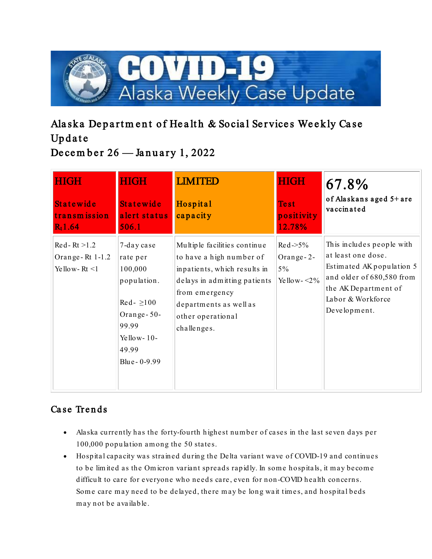

# Alaska Department of Health & Social Services Weekly Case Update December  $26$  — January 1, 2022

| <b>HIGH</b><br><b>Statewide</b><br>transmission<br>$R_t1.64$ | <b>HIGH</b><br><b>Statewide</b><br>alert status<br>506.1                                                                                                   | <b>LIMITED</b><br>Hospital<br>capacity                                                                                                                                                                   | <b>HIGH</b><br><b>Test</b><br>positivity<br>12.78%        | 67.8%<br>of Alaskans aged 5+ are<br>vaccinated                                                                                                                         |
|--------------------------------------------------------------|------------------------------------------------------------------------------------------------------------------------------------------------------------|----------------------------------------------------------------------------------------------------------------------------------------------------------------------------------------------------------|-----------------------------------------------------------|------------------------------------------------------------------------------------------------------------------------------------------------------------------------|
| $Re d - Rt > 1.2$<br>Orange-Rt 1-1.2<br>Yellow-Rt $\leq$ 1   | 7-day case<br>rate per<br>100,000<br>population.<br>$\text{Re} \, \text{d}$ - $\geq 100$<br>Orange-50-<br>99.99<br>Yellow- $10-$<br>49.99<br>Blue - 0-9.99 | Multiple facilities continue<br>to have a high number of<br>inpatients, which results in<br>delays in admitting patients<br>from emergency<br>departments as well as<br>other operational<br>challenges. | $Re d \gg 5\%$<br>Orange-2-<br>$5\%$<br>Ye llo w - $<$ 2% | This includes people with<br>at least one dose.<br>Estimated AK population 5<br>and older of 680,580 from<br>the AK Department of<br>Labor & Workforce<br>Development. |

# Case Trends

- Alaska currently has the forty-fourth highest num ber of cases in the last seven days per 100,000 population am ong the 50 states.
- Hospital capacity was strained during the Delta variant wave of COVID-19 and continues to be limited as the Omicron variant spreads rapidly. In some hospitals, it may become difficult to care for everyone who needs care, even for non-COVID health concerns. Some care may need to be delayed, there may be long wait times, and hospital beds m ay not be available.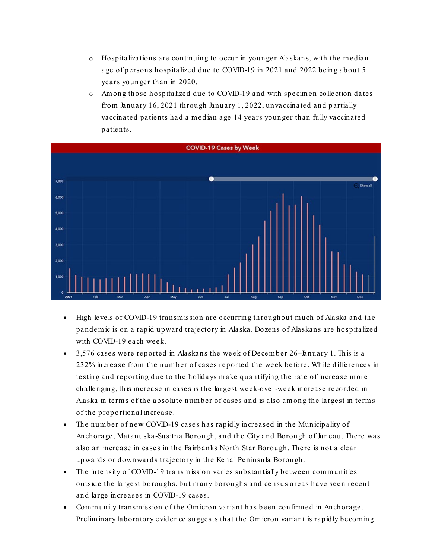- $\circ$  Hospitalizations are continuing to occur in younger Alaskans, with the median age of persons hospitalized due to COVID-19 in 2021 and 2022 being about 5 years younger than in 2020.
- o Am ong those hospitalized due to COVID-19 and with specim en collection dates from January  $16, 2021$  through January 1, 2022, unvaccinated and partially vaccinated patients had a m edian age 14 years younger than fully vaccinated patients.



- High levels of COVID-19 transmission are occurring throughout much of Alaska and the pandem ic is on a rapid upward trajectory in Alaska. Dozens of Alaskans are hospitalized with COVID-19 each week.
- 3,576 cases were reported in Alaskans the week of December 26–January 1. This is a 232% increase from the num ber of cases reported the week before. While differences in testing and reporting due to the holidays m ake quantifying the rate of increase m ore challenging, this increase in cases is the largest week-over-week increase recorded in Alaska in terms of the absolute number of cases and is also among the largest in terms of the proportional increase.
- The num ber of new COVID-19 cases has rapidly increased in the Municipality of Anchorage, Matanuska -Susitna Borough, and the City and Borough of Juneau. There was also an increase in cases in the Fairbanks North Star Borough. There is not a clear upwards or downwards trajectory in the Kenai Peninsula Borough.
- The intensity of COVID-19 transmission varies substantially between communities outside the largest boroughs, but m any boroughs and census areas have seen recent and large increases in COVID-19 cases.
- Com m unity transm ission of the Om icron variant has been confirm ed in Anchorage. Prelim inary laboratory evidence suggests that the Om icron variant is rapidly becom ing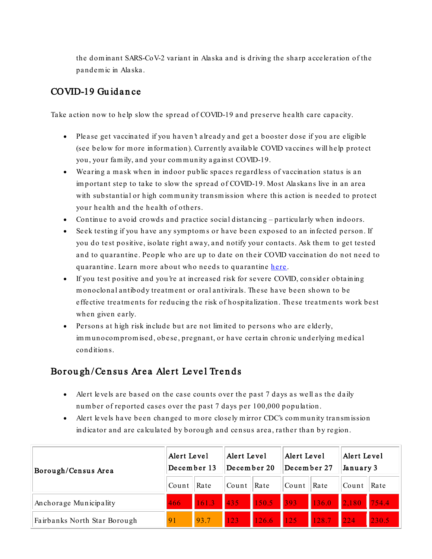the dom inant SARS-CoV-2 variant in Alaska and is driving the sharp acceleration of the pandem ic in Alaska.

### COVID-19 Guidance

Take action now to help slow the spread of COVID-19 and preserve health care capacity.

- Please get vaccinated if you haven't already and get a booster dose if you are eligible (see below for m ore inform ation). Currently available COVID vaccines will help protect you, your family, and your community against COVID-19.
- Wearing a m ask when in indoor public spaces regardless of vaccination status is an im portant step to take to slow the spread of COVID-19. Most Alaskans live in an area with substantial or high community transmission where this action is needed to protect your health and the health of others.
- Continue to avoid crowds and practice social distancing particularly when indoors.
- Seek testing if you have any symptoms or have been exposed to an infected person. If you do test positive, isolate right away, and notify your contacts. Ask them to get tested and to quarantine. People who are up to date on their COVID vaccination do not need to quarantine. Learn more about who needs to quarantine [here](https://lnks.gd/l/eyJhbGciOiJIUzI1NiJ9.eyJidWxsZXRpbl9saW5rX2lkIjoxMDAsInVyaSI6ImJwMjpjbGljayIsImJ1bGxldGluX2lkIjoiMjAyMjAxMDguNTE0NjkxODEiLCJ1cmwiOiJodHRwczovL3d3dy5jZGMuZ292L2Nvcm9uYXZpcnVzLzIwMTktbmNvdi95b3VyLWhlYWx0aC9xdWFyYW50aW5lLWlzb2xhdGlvbi5odG1sIn0.JpizOzEdZpMIDlcRx5FGpXG9PNk4CDLwsznbmg5K40Q/s/1125523096/br/124366485537-l).
- If you test positive and you're at increased risk for severe COVID, consider obtaining m onoclonal antibody treatm ent or oral antivirals. These have been shown to be effective treatments for reducing the risk of hospitalization. These treatments work best when given early.
- Persons at high risk include but are not lim ited to persons who are elderly, im munocom promised, obese, pregnant, or have certain chronic underlying medical conditions.

#### Borough/Census Area Alert Level Trends

- Alert levels are based on the case counts over the past 7 days as well as the daily num ber of reported cases over the past 7 days per 100,000 population.
- Alert levels have been changed to more closely mirror CDC's community transmission indicator and are calculated by borough and census area, rather than by region.

| Borough/Census Area          | Alert Level<br>December 13 |       | Alert Level<br>December 20 |                             | Alert Level<br>December 27 |      | Alert Level<br>January 3 |       |
|------------------------------|----------------------------|-------|----------------------------|-----------------------------|----------------------------|------|--------------------------|-------|
|                              | Count                      | Rate  | Count                      | Rate                        | Count                      | Rate | Count                    | Rate  |
| Anchorage Municipality       | 466                        | 161.3 | $\vert$ 435                | 150.5 393 136.0 2,180 754.4 |                            |      |                          |       |
| Fairbanks North Star Borough | 91                         | 93.7  | $\sqrt{123}$               | 126.6 125 128.7 224         |                            |      |                          | 230.5 |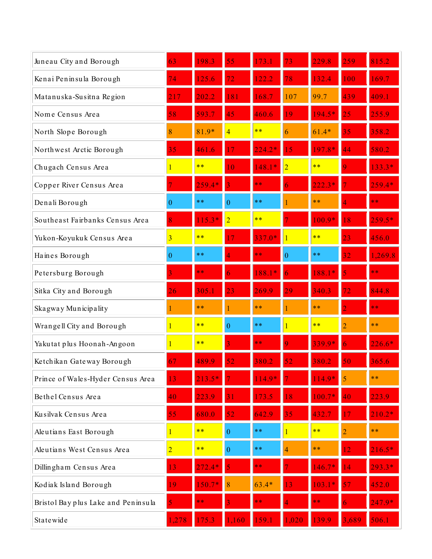| Juneau City and Borough             | 63                      | 198.3    | 55               | 73                    | 73               | $\overline{229.8}$ | 259             | 815.2    |
|-------------------------------------|-------------------------|----------|------------------|-----------------------|------------------|--------------------|-----------------|----------|
| Kenai Peninsula Borough             | 74                      | 125.6    | $\overline{72}$  | 22<br>$\overline{.2}$ | 78               | 132.4              | 100             | 169.7    |
| Matanuska-Susitna Region            | 217                     | 202.2    | 181              | 168.7                 | 107              | 99.7               | 439             | 409.1    |
| Nome Census Area                    | 58                      | 593.7    | 45               | 460.6                 | 9                | $194.5*$           | 25              | 255.9    |
| North Slope Borough                 | 8                       | $81.9*$  | 4                | **                    | 6                | $61.4*$            | 35              | 358.2    |
| Northwest Arctic Borough            | 35                      | 461.6    |                  | $224.2*$              | 15               | 197<br>$.8*$       | 44              | 580.2    |
| Chugach Census Area                 |                         | **       | 10               | 148.1<br>$\ast$       | $\overline{2}$   | $* *$              |                 | 133.3*   |
| Copper River Census Area            |                         | $259.4*$ |                  | **                    |                  | 222                |                 | $259.4*$ |
| Denali Borough                      | $\boldsymbol{0}$        | $* *$    | $\theta$         | $**$                  |                  | $**$               |                 | **       |
| Southeast Fairbanks Census Area     | 8                       | $115.3*$ | $\overline{2}$   | $* *$                 |                  | $100.9*$           | 18              | $259.5*$ |
| Yukon-Koyukuk Census Area           | $\overline{\mathbf{3}}$ | **       | 17               | $337.0*$              |                  | **                 | $\overline{23}$ | 456.0    |
| Haines Borough                      | $\boldsymbol{0}$        | $**$     |                  | $\ast\ast$            | $\boldsymbol{0}$ | **                 | 32              | 1,269.8  |
| Petersburg Borough                  | 3                       | **       |                  | 188.1<br>$\mathbf{r}$ |                  | $188.1*$           |                 | **       |
| Sitka City and Borough              | 26                      | 305      | 23               | 269.9                 | 29               | 340.3              | $\overline{72}$ | 844.8    |
| Skagway Municipality                |                         | $**$     |                  | $**$                  |                  | $**$               |                 | **       |
| Wrangell City and Borough           | 1                       | $* *$    | $\theta$         | $***$                 |                  | $* *$              | $\overline{2}$  | $**$     |
| Yakutat plus Hoonah-Angoon          |                         | **       |                  | $\ast\ast$            |                  | $339.9*$           |                 | $226.6*$ |
| Ketchikan Gateway Borough           | 67                      | 489.9    | 52               | 380.2                 | 52               | 380.2              | 50              | 365.6    |
| Prince of Wales-Hyder Census Area   | 13                      | 213.5    |                  | $114.9*$              |                  | $114.9*$           | 5               | $**$     |
| Bethel Census Area                  | 40                      | 223.9    | $\overline{31}$  | 73.5                  | 8                | $100.7*$           | 40              | 223.9    |
| Kusilvak Census Area                | 55                      | 680.0    | 52               | 642.9                 | 35               | 432.7              | 17              | $210.2*$ |
| Aleutians East Borough              | 1                       | $**$     | $\overline{0}$   | $***$                 |                  | $**$               | $\overline{2}$  | $***$    |
| Aleutians West Census Area          | $\overline{2}$          | **       | $\boldsymbol{0}$ | $***$                 | $\overline{4}$   | $**$               | 12              | $216.5*$ |
| Dillingham Census Area              | 13                      | $272.4*$ |                  | **                    |                  | $146.7*$           | $\overline{14}$ | 293.3*   |
| Kodiak Island Borough               | 19                      | 50.7     |                  | $63.4*$               |                  |                    |                 | 452.0    |
| Bristol Bay plus Lake and Peninsula |                         | k *      |                  | k *                   |                  |                    |                 | $247.9*$ |
| Statewide                           | 1,278                   | 175.3    | 1,160            | 159.1                 | 1,020            | 139.9              | 3,689           | 506.1    |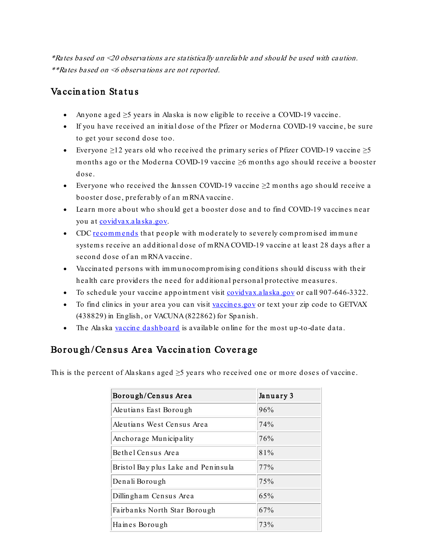\*Rates based on <20 observations are statistically unreliable and should be used with caution. \*\*Rates based on <6 observations are not reported.

#### Vaccination Status

- Anyone aged ≥5 years in Alaska is now eligible to receive a COVID-19 vaccine.
- If you have received an initial dose of the Pfizer or Moderna COVID-19 vaccine, be sure to get your second dose too.
- Everyone  $\geq$ 12 years old who received the primary series of Pfizer COVID-19 vaccine  $\geq$ 5 m onths ago or the Moderna COVID-19 vaccine ≥6 m onths ago should receive a booster dose.
- Everyone who received the Janssen COVID-19 vaccine  $\geq 2$  months ago should receive a booster dose, preferably of an m RNA vaccine.
- Learn m ore about who should get a booster dose and to find COVID-19 vaccines near you at [covidvax.alaska.gov.](https://lnks.gd/l/eyJhbGciOiJIUzI1NiJ9.eyJidWxsZXRpbl9saW5rX2lkIjoxMDEsInVyaSI6ImJwMjpjbGljayIsImJ1bGxldGluX2lkIjoiMjAyMjAxMDguNTE0NjkxODEiLCJ1cmwiOiJodHRwOi8vY292aWR2YXguYWxhc2thLmdvdi8ifQ.kPSdVOv7ZUTi-44e6BuH9SkQqkg-IgrM9X6cFcYZW6c/s/1125523096/br/124366485537-l)
- CD[C recommends](https://lnks.gd/l/eyJhbGciOiJIUzI1NiJ9.eyJidWxsZXRpbl9saW5rX2lkIjoxMDIsInVyaSI6ImJwMjpjbGljayIsImJ1bGxldGluX2lkIjoiMjAyMjAxMDguNTE0NjkxODEiLCJ1cmwiOiJodHRwczovL3d3dy5jZGMuZ292L2Nvcm9uYXZpcnVzLzIwMTktbmNvdi92YWNjaW5lcy9yZWNvbW1lbmRhdGlvbnMvaW1tdW5vLmh0bWwifQ._672vk35t1p9nmbbgkpLLbTFj75sntGVAmRDyQrFpeU/s/1125523096/br/124366485537-l) that people with moderately to severely compromised immune system s receive an additional dose of m RNA COVID-19 vaccine at least 28 days after a second dose of an m RNA vaccine.
- Vaccinated persons with immunocompromising conditions should discuss with their health care providers the need for additional personal protective measures.
- To schedule your vaccine appointment visit [covidvax.alaska.gov](https://lnks.gd/l/eyJhbGciOiJIUzI1NiJ9.eyJidWxsZXRpbl9saW5rX2lkIjoxMDMsInVyaSI6ImJwMjpjbGljayIsImJ1bGxldGluX2lkIjoiMjAyMjAxMDguNTE0NjkxODEiLCJ1cmwiOiJodHRwOi8vY292aWR2YXguYWxhc2thLmdvdi8ifQ.UqDyqMaO9Ace8Zqjw9NTnvRSM20R5K85lnSKJcD5sgM/s/1125523096/br/124366485537-l) or call 907-646-3322.
- To find clinics in your area you can visit [vaccines.gov](https://lnks.gd/l/eyJhbGciOiJIUzI1NiJ9.eyJidWxsZXRpbl9saW5rX2lkIjoxMDQsInVyaSI6ImJwMjpjbGljayIsImJ1bGxldGluX2lkIjoiMjAyMjAxMDguNTE0NjkxODEiLCJ1cmwiOiJodHRwczovL3d3dy52YWNjaW5lcy5nb3YvIn0.bEDk79T_ytR8J-_wTjBql4T-YAgZuxjixON0a8dDRs8/s/1125523096/br/124366485537-l) or text your zip code to GETVAX (438829) in English, or VACUNA (822862) for Spanish.
- The Alaska [vaccine dashboard](https://lnks.gd/l/eyJhbGciOiJIUzI1NiJ9.eyJidWxsZXRpbl9saW5rX2lkIjoxMDUsInVyaSI6ImJwMjpjbGljayIsImJ1bGxldGluX2lkIjoiMjAyMjAxMDguNTE0NjkxODEiLCJ1cmwiOiJodHRwczovL2V4cGVyaWVuY2UuYXJjZ2lzLmNvbS9leHBlcmllbmNlL2E3ZThiZTRhZGJlNzQwYTFiYWQxMzkzODk0ZWU0MDc1In0.ejI4UFR5hUfSqQgTlCZ0WTxoVpfott-X2bbkqKQ3EiE/s/1125523096/br/124366485537-l) is available online for the most up-to-date data.

#### Borough/Census Area Vaccination Coverage

This is the percent of Alaskans aged  $\geq$ 5 years who received one or more doses of vaccine.

| Borough/Census Area                 | January 3 |  |  |
|-------------------------------------|-----------|--|--|
| Aleutians East Borough              | 96%       |  |  |
| Aleutians West Census Area          | 74%       |  |  |
| Anchorage Municipality              | 76%       |  |  |
| Bethel Census Area                  | 81%       |  |  |
| Bristol Bay plus Lake and Peninsula | 77%       |  |  |
| Denali Borough                      | 75%       |  |  |
| Dillingham Census Area              | 65%       |  |  |
| Fairbanks North Star Borough        | 67%       |  |  |
| Haines Borough                      | 73%       |  |  |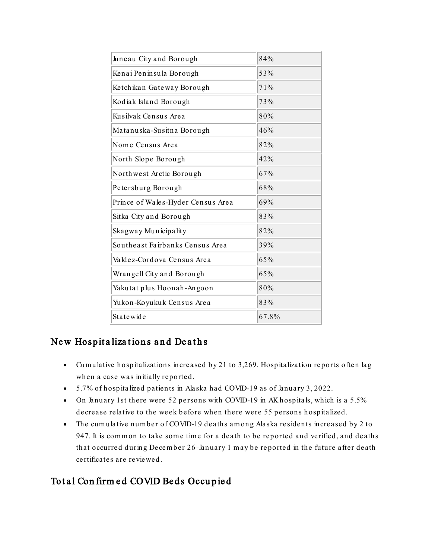| Juneau City and Borough           | 84%   |
|-----------------------------------|-------|
| Kenai Peninsula Borough           | 53%   |
| Ketchikan Gateway Borough         | 71%   |
| Kodiak Island Borough             | 73%   |
| Kusilvak Census Area              | 80%   |
| Matanuska-Susitna Borough         | 46%   |
| Nome Census Area                  | 82%   |
| North Slope Borough               | 42%   |
| Northwest Arctic Borough          | 67%   |
| Petersburg Borough                | 68%   |
| Prince of Wales-Hyder Census Area | 69%   |
| Sitka City and Borough            | 83%   |
| Skagway Municipality              | 82%   |
| Southeast Fairbanks Census Area   | 39%   |
| Valdez-Cordova Census Area        | 65%   |
| Wrangell City and Borough         | 65%   |
| Yakutat plus Hoonah-Angoon        | 80%   |
| Yukon-Koyukuk Census Area         | 83%   |
| Statewide                         | 67.8% |

### New Hospitalizations and Deaths

- Cum ulative hospitalizations increased by 21 to 3,269. Hospitalization reports often lag when a case was initially reported.
- 5.7% of hospitalized patients in Alaska had COVID-19 as of January 3, 2022.
- On January 1st there were 52 persons with COVID-19 in AK hospitals, which is a 5.5% decrease relative to the week before when there were 55 persons hospitalized.
- The cum ulative num ber of COVID-19 deaths am ong Alaska residents increased by 2 to 947. It is common to take some time for a death to be reported and verified, and deaths that occurred during December 26–January 1 may be reported in the future after death certificates are reviewed.

## Total Confirm ed COVID Beds Occupied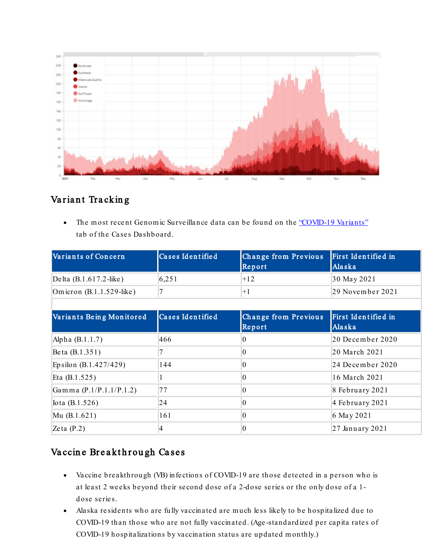

## Variant Tracking

• The most recent Genomic Surveillance data can be found on the ["COVID-19 Variants"](https://lnks.gd/l/eyJhbGciOiJIUzI1NiJ9.eyJidWxsZXRpbl9saW5rX2lkIjoxMDYsInVyaSI6ImJwMjpjbGljayIsImJ1bGxldGluX2lkIjoiMjAyMjAxMDguNTE0NjkxODEiLCJ1cmwiOiJodHRwczovL2V4cGVyaWVuY2UuYXJjZ2lzLmNvbS9leHBlcmllbmNlL2FmMmVmYzhiZmZiZjRjZGM4M2MyZDFhMTM0MzU0MDc0Lz9mb3JtPU1ZMDFTViZPQ0lEPU1ZMDFTViJ9._21yYlyIh9iDWWRddJ4hDePYi3pzL3tQciYyXL0Nduc/s/1125523096/br/124366485537-l) tab of the Cases Dashboard.

| Variants of Concern           | Cases Identified | Change from Previous<br>Report | First Identified in<br>Alaska |  |
|-------------------------------|------------------|--------------------------------|-------------------------------|--|
| Delta (B.1.617.2-like)        | 6,251            | $+12$                          | 30 May 2021                   |  |
| Omicron $(B.1.1.529$ -like)   |                  | $+1$                           | 29 November 2021              |  |
|                               |                  |                                |                               |  |
| Variants Being Monitored      | Cases Identified | Change from Previous<br>Report | First Identified in<br>Alaska |  |
| Alpha (B.1.1.7)               | 466              | 0                              | 20 December 2020              |  |
| Beta (B.1.351)                |                  | 0                              | 20 March 2021                 |  |
| Epsilon (B.1.427/429)         | 144              | 0                              | 24 December 2020              |  |
| Eta $(B.1.525)$               |                  | 0                              | 16 March 2021                 |  |
| Gamma $(P.1/P.1.1/P.1.2)$     | 77               | 0                              | 8 February 2021               |  |
| $\text{Iota}(\text{B.1.526})$ | 24               | $_{0}$                         | 4 February 2021               |  |
| Mu $(B.1.621)$                | 161              | 0                              | 6 May 2021                    |  |
| Zeta $(P.2)$                  | 4                | 0                              | 27 January 2021               |  |

## Vaccine Breakthrough Cases

- Vaccine breakthrough (VB) infections of COVID-19 are those detected in a person who is at least 2 weeks beyond their second dose of a 2-dose series or the only dose of a 1 dose series.
- Alaska residents who are fully vaccinated are m uch less likely to be hospitalized due to COVID-19 than those who are not fully vaccinated. (Age -standardized per capita rates of COVID-19 hospitalizations by vaccination status are updated m onthly.)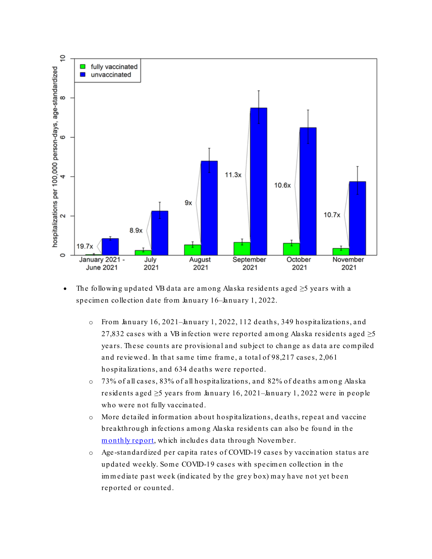

• The following updated VB data are am ong Alaska residents aged ≥5 years with a specim en collection date from January 16–January 1, 2022.

- o From January 16, 2021–January 1, 2022, 112 deaths, 349 hospitalizations, and 27,832 cases with a VB infection were reported among Alaska residents aged  $\geq$ 5 years. These counts are provisional and subject to change as data are compiled and reviewed. In that same time frame, a total of 98,217 cases, 2,061 hospitalizations, and 634 deaths were reported.
- o 73% of all cases, 83% of all hospitalizations, and 82% of deaths am ong Alaska residents aged  $\geq$ 5 years from January 16, 2021–January 1, 2022 were in people who were not fully vaccinated.
- o More detailed inform ation about hospitalizations, deaths, repeat and vaccine breakthrough infections am ong Alaska residents can also be found in the monthly report, which includes data through November.
- o Age -standardized per capita rates of COVID-19 cases by vaccination status are updated weekly. Some COVID-19 cases with specimen collection in the im m ediate past week (indicated by the grey box) m ay have not yet been reported or counted.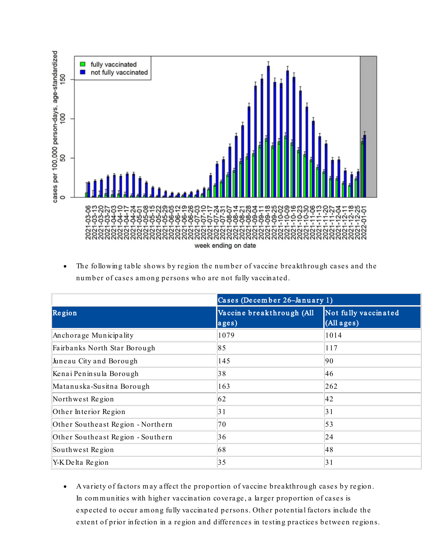

• The following table shows by region the num ber of vaccine breakthrough cases and the number of cases among persons who are not fully vaccinated.

|                                   | Cases (December 26-January 1)      |                                    |  |  |  |
|-----------------------------------|------------------------------------|------------------------------------|--|--|--|
| Region                            | Vaccine breakthrough (All<br>ages) | Not fully vaccinated<br>(All ages) |  |  |  |
| Anchorage Municipality            | 1079                               | 1014                               |  |  |  |
| Fairbanks North Star Borough      | 85                                 | 117                                |  |  |  |
| Juneau City and Borough           | 145                                | 90                                 |  |  |  |
| Kenai Peninsula Borough           | 38                                 | 46                                 |  |  |  |
| Matanuska-Susitna Borough         | 163                                | 262                                |  |  |  |
| Northwest Region                  | 62                                 | 42                                 |  |  |  |
| Other Interior Region             | 31                                 | 31                                 |  |  |  |
| Other Southeast Region - Northern | 70                                 | 53                                 |  |  |  |
| Other Southeast Region - Southern | 36                                 | 24                                 |  |  |  |
| Southwest Region                  | 68                                 | 48                                 |  |  |  |
| Y-K Delta Region                  | 35                                 | 31                                 |  |  |  |

• A variety of factors m ay affect the proportion of vaccine breakthrough cases by region. In communities with higher vaccination coverage, a larger proportion of cases is expected to occur am ong fully vaccinated persons. Other potential factors include the extent of prior infection in a region and differences in testing practices between regions.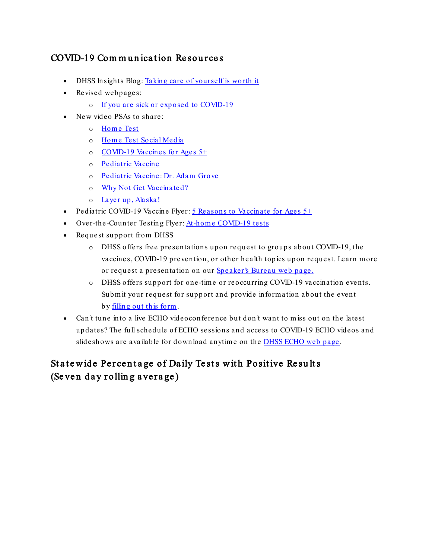## COVID-19 Communication Resources

- DHSS Insights Blog: [Taking care of yourself is worth it](https://lnks.gd/l/eyJhbGciOiJIUzI1NiJ9.eyJidWxsZXRpbl9saW5rX2lkIjoxMDgsInVyaSI6ImJwMjpjbGljayIsImJ1bGxldGluX2lkIjoiMjAyMjAxMDguNTE0NjkxODEiLCJ1cmwiOiJodHRwczovL2djYzAyLnNhZmVsaW5rcy5wcm90ZWN0aW9uLm91dGxvb2suY29tLz91cmw9aHR0cHMlM0ElMkYlMkZjb250ZW50LmdvdmRlbGl2ZXJ5LmNvbSUyRmFjY291bnRzJTJGQUtESFNTJTJGYnVsbGV0aW5zJTJGMzAyY2Q0NCZkYXRhPTA0JTdDMDElN0NlcmljLm1vb3JpbmclNDBhbGFza2EuZ292JTdDNWVlNWI3Mjk4MTQxNGFkZmNiZmEwOGQ5ZDA5ZjE5MGQlN0MyMDAzMGJmNjdhZDk0MmY3OTI3MzU5ZWE4M2ZjZmEzOCU3QzAlN0MwJTdDNjM3NzcwMjA0MDI0MDY3MzM3JTdDVW5rbm93biU3Q1RXRnBiR1pzYjNkOGV5SldJam9pTUM0d0xqQXdNREFpTENKUUlqb2lWMmx1TXpJaUxDSkJUaUk2SWsxaGFXd2lMQ0pYVkNJNk1uMCUzRCU3QzMwMDAmc2RhdGE9TmhVVFk0UG9TVHlPU3hXRW5VSXg5JTJCNjYzTDElMkZJd3R2ckg0MzVSMjBFaGslM0QmcmVzZXJ2ZWQ9MCJ9.EbSBE1_sxxZmspjEXmtrve1C400PO_DEEluLj1KZcdU/s/1125523096/br/124366485537-l)
- Revised webpages:
	- o [If you are sick or exposed to COVID-19](https://lnks.gd/l/eyJhbGciOiJIUzI1NiJ9.eyJidWxsZXRpbl9saW5rX2lkIjoxMDksInVyaSI6ImJwMjpjbGljayIsImJ1bGxldGluX2lkIjoiMjAyMjAxMDguNTE0NjkxODEiLCJ1cmwiOiJodHRwczovL2Roc3MuYWxhc2thLmdvdi9kcGgvRXBpL2lkL1BhZ2VzL0NPVklELTE5L25vd3doYXQuYXNweCJ9.cbstO3NALpj-IRvgdeYOinQmEx-wwThEORMfZnWMrcg/s/1125523096/br/124366485537-l)
- New video PSAs to share:
	- o Home Test
	- o Home Test Social Media
	- o [COVID-19 Vaccines for Ages 5+](https://lnks.gd/l/eyJhbGciOiJIUzI1NiJ9.eyJidWxsZXRpbl9saW5rX2lkIjoxMTIsInVyaSI6ImJwMjpjbGljayIsImJ1bGxldGluX2lkIjoiMjAyMjAxMDguNTE0NjkxODEiLCJ1cmwiOiJodHRwczovL2djYzAyLnNhZmVsaW5rcy5wcm90ZWN0aW9uLm91dGxvb2suY29tLz91cmw9aHR0cHMlM0ElMkYlMkZ2aW1lby5jb20lMkY2NTE3MDEwNjcmZGF0YT0wNCU3QzAxJTdDZXJpYy5tb29yaW5nJTQwYWxhc2thLmdvdiU3QzVlZTViNzI5ODE0MTRhZGZjYmZhMDhkOWQwOWYxOTBkJTdDMjAwMzBiZjY3YWQ5NDJmNzkyNzM1OWVhODNmY2ZhMzglN0MwJTdDMCU3QzYzNzc3MDIwNDAyNDA2NzMzNyU3Q1Vua25vd24lN0NUV0ZwYkdac2IzZDhleUpXSWpvaU1DNHdMakF3TURBaUxDSlFJam9pVjJsdU16SWlMQ0pCVGlJNklrMWhhV3dpTENKWFZDSTZNbjAlM0QlN0MzMDAwJnNkYXRhPXluc3F0N1o0amtBJTJCQmk5TSUyRjB4R1UxY2VmS2gzUDBHZFBSRTF0bEtjZTB3JTNEJnJlc2VydmVkPTAifQ.4iH7UX7jbODUc-vgzQeQe4s6eR4bb4RMBAN4-gz_M-Q/s/1125523096/br/124366485537-l)
	- o [Pediatric Vaccine](https://lnks.gd/l/eyJhbGciOiJIUzI1NiJ9.eyJidWxsZXRpbl9saW5rX2lkIjoxMTMsInVyaSI6ImJwMjpjbGljayIsImJ1bGxldGluX2lkIjoiMjAyMjAxMDguNTE0NjkxODEiLCJ1cmwiOiJodHRwczovL2djYzAyLnNhZmVsaW5rcy5wcm90ZWN0aW9uLm91dGxvb2suY29tLz91cmw9aHR0cHMlM0ElMkYlMkZ2aW1lby5jb20lMkY2NTQ2MDE1MDImZGF0YT0wNCU3QzAxJTdDZXJpYy5tb29yaW5nJTQwYWxhc2thLmdvdiU3QzVlZTViNzI5ODE0MTRhZGZjYmZhMDhkOWQwOWYxOTBkJTdDMjAwMzBiZjY3YWQ5NDJmNzkyNzM1OWVhODNmY2ZhMzglN0MwJTdDMCU3QzYzNzc3MDIwNDAyNDA2NzMzNyU3Q1Vua25vd24lN0NUV0ZwYkdac2IzZDhleUpXSWpvaU1DNHdMakF3TURBaUxDSlFJam9pVjJsdU16SWlMQ0pCVGlJNklrMWhhV3dpTENKWFZDSTZNbjAlM0QlN0MzMDAwJnNkYXRhPXIwUWJYN09FNkJDamR3Yk83SzhYZndUVW1VVm1rN1BUcklyQ2pRS0tHUWslM0QmcmVzZXJ2ZWQ9MCJ9.gxytxcDzlhnsGetHcFrG3VhuQDuCuTdEKEoy6qyMOeU/s/1125523096/br/124366485537-l)
	- o [Pediatric Vaccine: Dr. Adam Grove](https://lnks.gd/l/eyJhbGciOiJIUzI1NiJ9.eyJidWxsZXRpbl9saW5rX2lkIjoxMTQsInVyaSI6ImJwMjpjbGljayIsImJ1bGxldGluX2lkIjoiMjAyMjAxMDguNTE0NjkxODEiLCJ1cmwiOiJodHRwczovL2djYzAyLnNhZmVsaW5rcy5wcm90ZWN0aW9uLm91dGxvb2suY29tLz91cmw9aHR0cHMlM0ElMkYlMkZ2aW1lby5jb20lMkY2NTE3MDMyMTUmZGF0YT0wNCU3QzAxJTdDZXJpYy5tb29yaW5nJTQwYWxhc2thLmdvdiU3QzVlZTViNzI5ODE0MTRhZGZjYmZhMDhkOWQwOWYxOTBkJTdDMjAwMzBiZjY3YWQ5NDJmNzkyNzM1OWVhODNmY2ZhMzglN0MwJTdDMCU3QzYzNzc3MDIwNDAyNDA2NzMzNyU3Q1Vua25vd24lN0NUV0ZwYkdac2IzZDhleUpXSWpvaU1DNHdMakF3TURBaUxDSlFJam9pVjJsdU16SWlMQ0pCVGlJNklrMWhhV3dpTENKWFZDSTZNbjAlM0QlN0MzMDAwJnNkYXRhPTVJMXh4SnVtZGI4VUIwNHMxY2JPT1dIdyUyRmQzemNqbnYlMkZDNjNOQTZxQUU4JTNEJnJlc2VydmVkPTAifQ.NkrWh-ZAmgrHp4X2WxvBjQiaNR-6ed5Yolea-KQ-23M/s/1125523096/br/124366485537-l)
	- o [Why Not Get Vaccinated?](https://lnks.gd/l/eyJhbGciOiJIUzI1NiJ9.eyJidWxsZXRpbl9saW5rX2lkIjoxMTUsInVyaSI6ImJwMjpjbGljayIsImJ1bGxldGluX2lkIjoiMjAyMjAxMDguNTE0NjkxODEiLCJ1cmwiOiJodHRwczovL2djYzAyLnNhZmVsaW5rcy5wcm90ZWN0aW9uLm91dGxvb2suY29tLz91cmw9aHR0cHMlM0ElMkYlMkZ2aW1lby5jb20lMkY2NDQwMTE4MjEmZGF0YT0wNCU3QzAxJTdDZXJpYy5tb29yaW5nJTQwYWxhc2thLmdvdiU3QzVlZTViNzI5ODE0MTRhZGZjYmZhMDhkOWQwOWYxOTBkJTdDMjAwMzBiZjY3YWQ5NDJmNzkyNzM1OWVhODNmY2ZhMzglN0MwJTdDMCU3QzYzNzc3MDIwNDAyNDA2NzMzNyU3Q1Vua25vd24lN0NUV0ZwYkdac2IzZDhleUpXSWpvaU1DNHdMakF3TURBaUxDSlFJam9pVjJsdU16SWlMQ0pCVGlJNklrMWhhV3dpTENKWFZDSTZNbjAlM0QlN0MzMDAwJnNkYXRhPVpCdHVEeXRzT0l1bHV0QWJPWGVZN1lEVXppaDZoT2lMQUxsbEp6NGxaJTJGZyUzRCZyZXNlcnZlZD0wIn0.xy5NRrsSx3bo0GPpjhvoUhuCDa7zzA-AWYg896HXlVc/s/1125523096/br/124366485537-l)
	- o [Layer up, Alaska!](https://lnks.gd/l/eyJhbGciOiJIUzI1NiJ9.eyJidWxsZXRpbl9saW5rX2lkIjoxMTYsInVyaSI6ImJwMjpjbGljayIsImJ1bGxldGluX2lkIjoiMjAyMjAxMDguNTE0NjkxODEiLCJ1cmwiOiJodHRwczovL2djYzAyLnNhZmVsaW5rcy5wcm90ZWN0aW9uLm91dGxvb2suY29tLz91cmw9aHR0cHMlM0ElMkYlMkZ2aW1lby5jb20lMkY2MjM0NDMwOTMmZGF0YT0wNCU3QzAxJTdDZXJpYy5tb29yaW5nJTQwYWxhc2thLmdvdiU3QzVlZTViNzI5ODE0MTRhZGZjYmZhMDhkOWQwOWYxOTBkJTdDMjAwMzBiZjY3YWQ5NDJmNzkyNzM1OWVhODNmY2ZhMzglN0MwJTdDMCU3QzYzNzc3MDIwNDAyNDA2NzMzNyU3Q1Vua25vd24lN0NUV0ZwYkdac2IzZDhleUpXSWpvaU1DNHdMakF3TURBaUxDSlFJam9pVjJsdU16SWlMQ0pCVGlJNklrMWhhV3dpTENKWFZDSTZNbjAlM0QlN0MzMDAwJnNkYXRhPXN2NlJuWnhHMEQwMno0eFFaR2gwb3J1ZzZGTFRqZWszdFJPSE0wYkpRR1klM0QmcmVzZXJ2ZWQ9MCJ9.Pq5e2OsmWFwgyicZJoZahY7Fhmz-yVtPuzwn7Trs9ac/s/1125523096/br/124366485537-l)
- Pediatric COVID-19 Vaccine Flyer: [5 Reasons to Vaccinate for Ages 5+](https://lnks.gd/l/eyJhbGciOiJIUzI1NiJ9.eyJidWxsZXRpbl9saW5rX2lkIjoxMTcsInVyaSI6ImJwMjpjbGljayIsImJ1bGxldGluX2lkIjoiMjAyMjAxMDguNTE0NjkxODEiLCJ1cmwiOiJodHRwczovL2Roc3MuYWxhc2thLmdvdi9kcGgvZXBpL2lkL3NpdGVhc3NldHMvcGFnZXMvSHVtYW5Db1YvZmx5ZXJfNXJlYXNvbnMucGRmIn0.RA9e094nuRPH1WmFKxJfQCOk0mF2CpkhLF-mNjd3A5I/s/1125523096/br/124366485537-l)
- Over-the-Counter Testing Flyer: At-home COVID-19 tests
- Request support from DHSS
	- o DHSS offers free presentations upon request to groups about COVID-19, the vaccines, COVID-19 prevention, or other health topics upon request. Learn m ore or request a presentation on our **[Speaker's Bureau](https://lnks.gd/l/eyJhbGciOiJIUzI1NiJ9.eyJidWxsZXRpbl9saW5rX2lkIjoxMTksInVyaSI6ImJwMjpjbGljayIsImJ1bGxldGluX2lkIjoiMjAyMjAxMDguNTE0NjkxODEiLCJ1cmwiOiJodHRwOi8vZGhzcy5hbGFza2EuZ292L2RwaC9lcGkvaWQvcGFnZXMvQ09WSUQtMTkvc3BlYWtlcnNidXJlYXUuYXNweCJ9.rzMd8TNte2VWozi14atyOqAgg23JrFzmKK-jQV9kLGE/s/1125523096/br/124366485537-l) web page.**
	- o DHSS offers support for one -tim e or reoccurring COVID-19 vaccination events. Submit your request for support and provide information about the event by [filling out this form.](https://lnks.gd/l/eyJhbGciOiJIUzI1NiJ9.eyJidWxsZXRpbl9saW5rX2lkIjoxMjAsInVyaSI6ImJwMjpjbGljayIsImJ1bGxldGluX2lkIjoiMjAyMjAxMDguNTE0NjkxODEiLCJ1cmwiOiJodHRwczovL2djYzAyLnNhZmVsaW5rcy5wcm90ZWN0aW9uLm91dGxvb2suY29tLz91cmw9aHR0cHMlM0ElMkYlMkZ1cmxkZWZlbnNlLmNvbSUyRnYzJTJGX19odHRwcyUzQSUyRnd3dy5zdXJ2ZXltb25rZXkuY29tJTJGciUyRlhNVExNTUZfXyUzQiEhSjJfOGdkcDZnWlEhNGRVNWhOcGFaY0xpeC1Sblg3ZDBxM1hKSXFjQzlyZ0k3aFB5M1E2VFdqZF9hUUZ0cXpYV0duY2tpTXI2a1VEZVBsQllVUFFKYWclMjUyNCZkYXRhPTA0JTdDMDElN0NlcmljLm1vb3JpbmclNDBhbGFza2EuZ292JTdDNWVlNWI3Mjk4MTQxNGFkZmNiZmEwOGQ5ZDA5ZjE5MGQlN0MyMDAzMGJmNjdhZDk0MmY3OTI3MzU5ZWE4M2ZjZmEzOCU3QzAlN0MwJTdDNjM3NzcwMjA0MDI0MDY3MzM3JTdDVW5rbm93biU3Q1RXRnBiR1pzYjNkOGV5SldJam9pTUM0d0xqQXdNREFpTENKUUlqb2lWMmx1TXpJaUxDSkJUaUk2SWsxaGFXd2lMQ0pYVkNJNk1uMCUzRCU3QzMwMDAmc2RhdGE9NW1PM05OSjhWQU5Oc09PRzIyMU4lMkJxdjJsUSUyQldqOWlET2t0ZyUyQktEcjFJOCUzRCZyZXNlcnZlZD0wIn0.qDvm0x0tmokkZxGI_6CbuCfVV5wtxgcUILLadOEB4GY/s/1125523096/br/124366485537-l)
- Can't tune into a live ECHO videoconference but don't want to miss out on the latest updates? The full schedule of ECHO sessions and access to COVID-19 ECHO videos and slideshows are available for download anytime on the **[DHSS ECHO web page](https://lnks.gd/l/eyJhbGciOiJIUzI1NiJ9.eyJidWxsZXRpbl9saW5rX2lkIjoxMjEsInVyaSI6ImJwMjpjbGljayIsImJ1bGxldGluX2lkIjoiMjAyMjAxMDguNTE0NjkxODEiLCJ1cmwiOiJodHRwOi8vZGhzcy5hbGFza2EuZ292L2RwaC9lcGkvaWQvcGFnZXMvQ09WSUQtMTkvRUNITy5hc3B4In0.WtTojaP28T8e0ZXZQTPyhjZpGdeNQ4X9f9i_QZPFyOA/s/1125523096/br/124366485537-l)**.

## Statewide Percentage of Daily Tests with Positive Results (Seven day rolling average)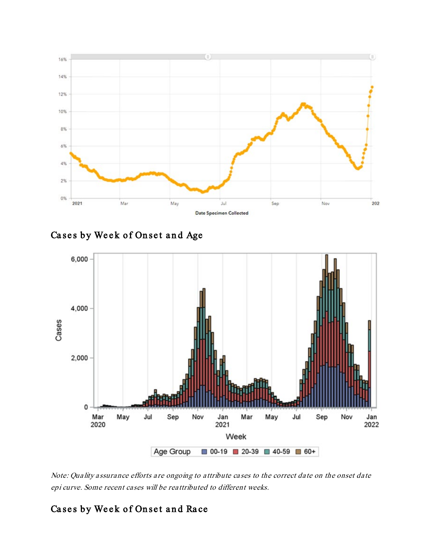

Cases by Week of Onset and Age



Note: Quality assurance efforts are ongoing to attribute cases to the correct date on the onset date epi curve. Some recent cases will be reattributed to different weeks.

## Cases by Week of Onset and Race